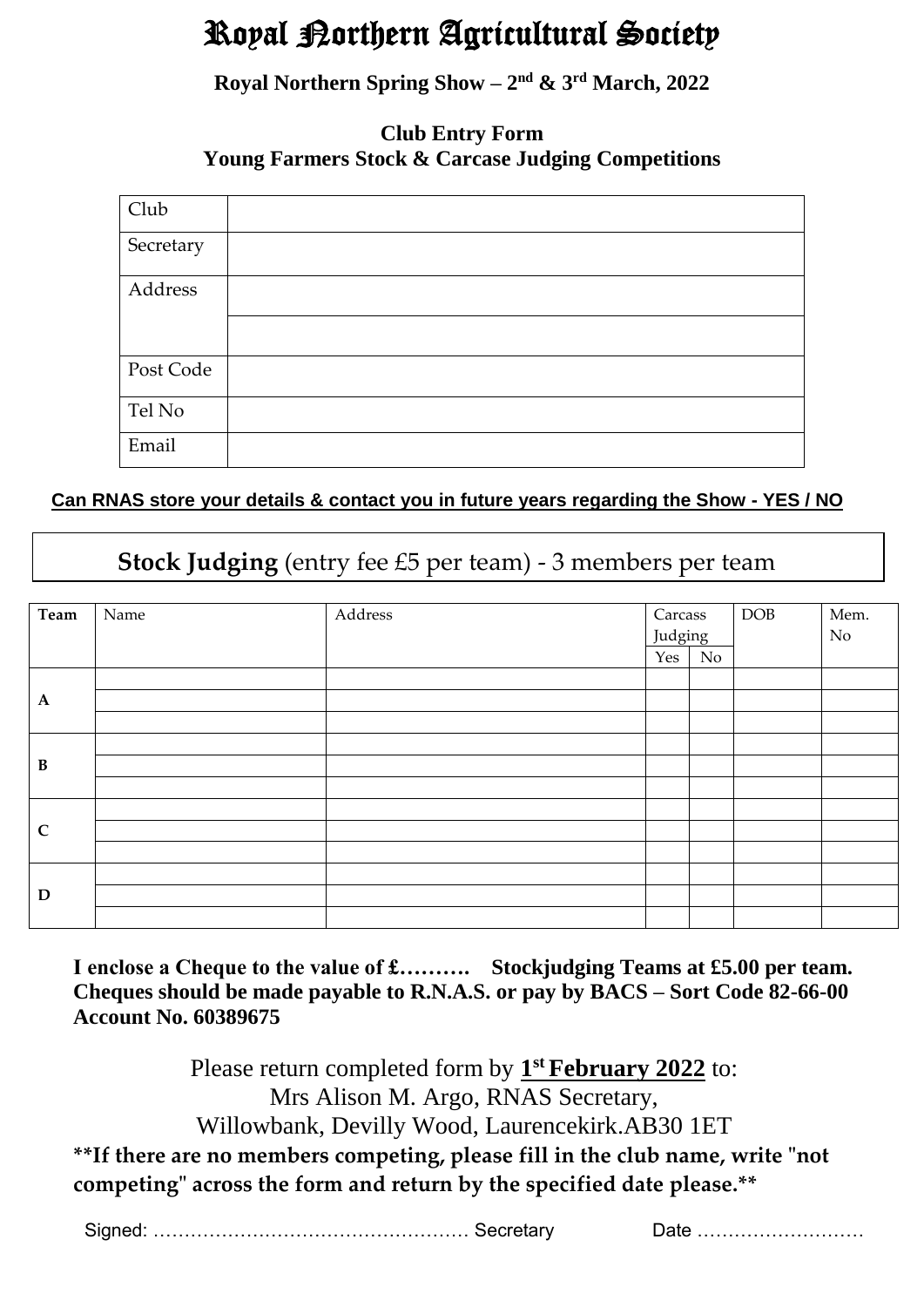# Royal Northern Agricultural Society

**Royal Northern Spring Show – 2 nd & 3 rd March, 2022**

### **Club Entry Form Young Farmers Stock & Carcase Judging Competitions**

| Club      |  |
|-----------|--|
| Secretary |  |
| Address   |  |
|           |  |
| Post Code |  |
| Tel No    |  |
| Email     |  |

### **Can RNAS store your details & contact you in future years regarding the Show - YES / NO**

## **Stock Judging** (entry fee £5 per team) - 3 members per team

| Team         | Name | Address | Carcass |    | <b>DOB</b> | Mem. |
|--------------|------|---------|---------|----|------------|------|
|              |      |         | Judging |    |            | No   |
|              |      |         | Yes     | No |            |      |
|              |      |         |         |    |            |      |
| $\mathbf A$  |      |         |         |    |            |      |
|              |      |         |         |    |            |      |
|              |      |         |         |    |            |      |
| $\, {\bf B}$ |      |         |         |    |            |      |
|              |      |         |         |    |            |      |
|              |      |         |         |    |            |      |
| $\mathbf C$  |      |         |         |    |            |      |
|              |      |         |         |    |            |      |
|              |      |         |         |    |            |      |
| D            |      |         |         |    |            |      |
|              |      |         |         |    |            |      |

**I enclose a Cheque to the value of £………. Stockjudging Teams at £5.00 per team. Cheques should be made payable to R.N.A.S. or pay by BACS – Sort Code 82-66-00 Account No. 60389675**

Please return completed form by  $1<sup>st</sup>$  **February 2022** to: Mrs Alison M. Argo, RNAS Secretary, Willowbank, Devilly Wood, Laurencekirk.AB30 1ET **\*\*If there are no members competing, please fill in the club name, write "not competing" across the form and return by the specified date please.\*\***

|  | . ooroton $\prime$ |
|--|--------------------|
|--|--------------------|

Date ………………………